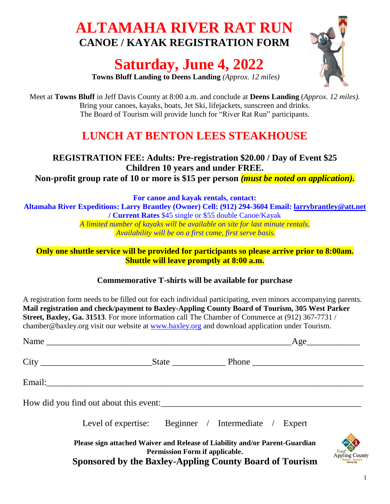# **ALTAMAHA RIVER RAT RUN CANOE / KAYAK REGISTRATION FORM**

# **Saturday, June 4, 2022**



**Towns Bluff Landing to Deens Landing** *(Approx. 12 miles)*

Meet at **Towns Bluff** in Jeff Davis County at 8:00 a.m. and conclude at **Deens Landing** (*Approx. 12 miles).* Bring your canoes, kayaks, boats, Jet Ski, lifejackets, sunscreen and drinks. The Board of Tourism will provide lunch for "River Rat Run" participants.

# **LUNCH AT BENTON LEES STEAKHOUSE**

# **REGISTRATION FEE: Adults: Pre-registration \$20.00 / Day of Event \$25 Children 10 years and under FREE.**

**Non-profit group rate of 10 or more is \$15 per person** *(must be noted on application).*

**For canoe and kayak rentals, contact:**

**Altamaha River Expeditions: Larry Brantley (Owner) Cell: (912) 294-3604 Email: [larrybrantley@att.net](mailto:larrybrantley@att.net)  / Current Rates** \$45 single or \$55 double Canoe/Kayak

*A limited number of kayaks will be available on site for last minute rentals. Availability will be on a first come, first serve basis.*

**Only one shuttle service will be provided for participants so please arrive prior to 8:00am. Shuttle will leave promptly at 8:00 a.m.**

## **Commemorative T-shirts will be available for purchase**

A registration form needs to be filled out for each individual participating, even minors accompanying parents. **Mail registration and check/payment to Baxley-Appling County Board of Tourism, 305 West Parker Street, Baxley, Ga. 31513**. For more information call The Chamber of Commerce at (912) 367-7731 / chamber@baxley.org visit our website at [www.baxley.org](http://www.baxley.org/) and download application under Tourism.

| Name Age                                                                                                                                                                 |  |                                                      |  |  |  |
|--------------------------------------------------------------------------------------------------------------------------------------------------------------------------|--|------------------------------------------------------|--|--|--|
|                                                                                                                                                                          |  |                                                      |  |  |  |
| Email: 2008. Email: 2008. Email: 2008. Email: 2008. Email: 2008. Email: 2008. Email: 2008. Email: 2008. Email:                                                           |  |                                                      |  |  |  |
| How did you find out about this event:                                                                                                                                   |  |                                                      |  |  |  |
|                                                                                                                                                                          |  | Level of expertise: Beginner / Intermediate / Expert |  |  |  |
| Please sign attached Waiver and Release of Liability and/or Parent-Guardian<br>Permission Form if applicable.<br>Sponsored by the Baxley-Appling County Board of Tourism |  |                                                      |  |  |  |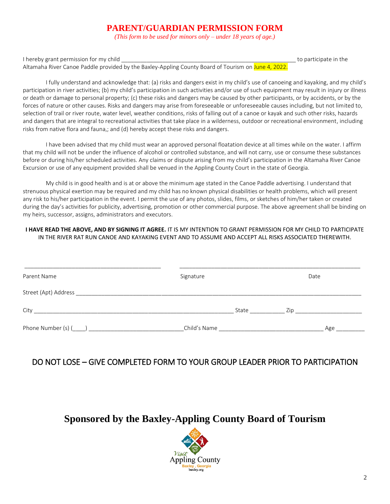### **PARENT/GUARDIAN PERMISSION FORM**

*(This form to be used for minors only – under 18 years of age.)*

I hereby grant permission for my child **the set of the set of the set of the set of the set of the set of the set of the set of the set of the set of the set of the set of the set of the set of the set of the set of the se** 

Altamaha River Canoe Paddle provided by the Baxley-Appling County Board of Tourism on June 4, 2022.

I fully understand and acknowledge that: (a) risks and dangers exist in my child's use of canoeing and kayaking, and my child's participation in river activities; (b) my child's participation in such activities and/or use of such equipment may result in injury or illness or death or damage to personal property; (c) these risks and dangers may be caused by other participants, or by accidents, or by the forces of nature or other causes. Risks and dangers may arise from foreseeable or unforeseeable causes including, but not limited to, selection of trail or river route, water level, weather conditions, risks of falling out of a canoe or kayak and such other risks, hazards and dangers that are integral to recreational activities that take place in a wilderness, outdoor or recreational environment, including risks from native flora and fauna,; and (d) hereby accept these risks and dangers.

I have been advised that my child must wear an approved personal floatation device at all times while on the water. I affirm that my child will not be under the influence of alcohol or controlled substance, and will not carry, use or consume these substances before or during his/her scheduled activities. Any claims or dispute arising from my child's participation in the Altamaha River Canoe Excursion or use of any equipment provided shall be venued in the Appling County Court in the state of Georgia.

My child is in good health and is at or above the minimum age stated in the Canoe Paddle advertising. I understand that strenuous physical exertion may be required and my child has no known physical disabilities or health problems, which will present any risk to his/her participation in the event. I permit the use of any photos, slides, films, or sketches of him/her taken or created during the day's activities for publicity, advertising, promotion or other commercial purpose. The above agreement shall be binding on my heirs, successor, assigns, administrators and executors.

#### **I HAVE READ THE ABOVE, AND BY SIGNING IT AGREE.** IT IS MY INTENTION TO GRANT PERMISSION FOR MY CHILD TO PARTICIPATE IN THE RIVER RAT RUN CANOE AND KAYAKING EVENT AND TO ASSUME AND ACCEPT ALL RISKS ASSOCIATED THEREWITH.

| Parent Name | Signature |              | Date                                                                                                                                                                                                                           |     |
|-------------|-----------|--------------|--------------------------------------------------------------------------------------------------------------------------------------------------------------------------------------------------------------------------------|-----|
|             |           |              |                                                                                                                                                                                                                                |     |
| City        |           | State        | Zip and the contract of the contract of the contract of the contract of the contract of the contract of the contract of the contract of the contract of the contract of the contract of the contract of the contract of the co |     |
|             |           | Child's Name |                                                                                                                                                                                                                                | Age |

### DO NOT LOSE – GIVE COMPLETED FORM TO YOUR GROUP LEADER PRIOR TO PARTICIPATION

# **Sponsored by the Baxley-Appling County Board of Tourism**